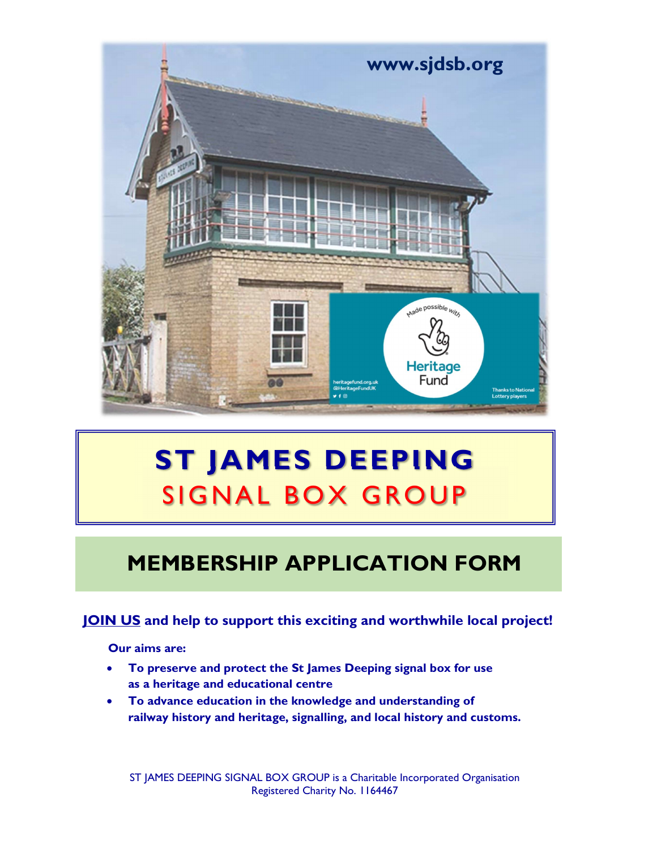

# ST JAMES DEEPING

# MEMBERSHIP APPLICATION FORM

# JOIN US and help to support this exciting and worthwhile local project!

Our aims are:

- To preserve and protect the St James Deeping signal box for use as a heritage and educational centre
- To advance education in the knowledge and understanding of railway history and heritage, signalling, and local history and customs.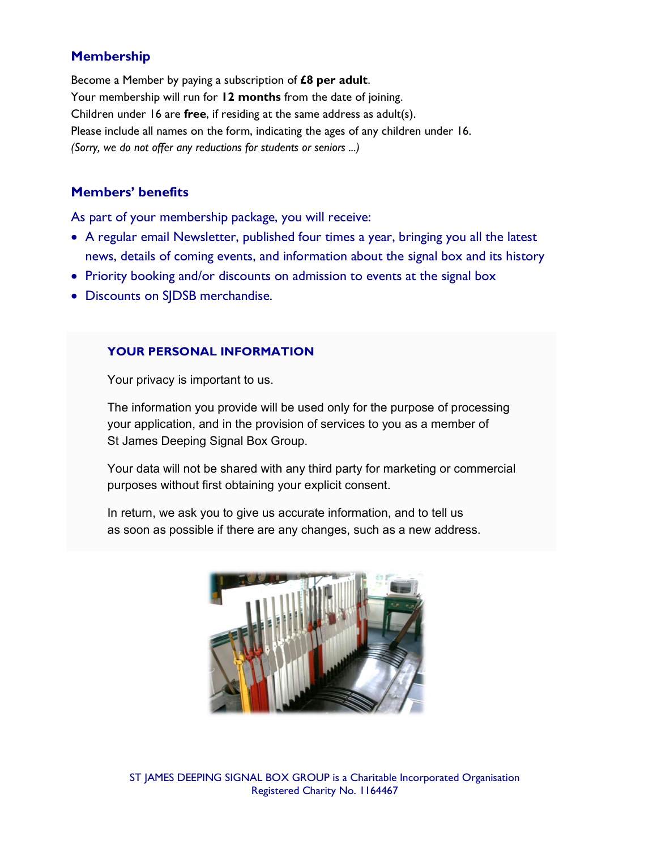# Membership

Become a Member by paying a subscription of  $£8$  per adult.<br>Your membership will run for 12 months from the date of joining. Children under 16 are free, if residing at the same address as adult(s). Please include all names on the form, indicating the ages of any children under 16. (Sorry, we do not offer any reductions for students or seniors ...)

#### Members' benefits

As part of your membership package, you will receive:

- A regular email Newsletter, published four times a year, bringing you all the latest news, details of coming events, and information about the signal box and its history
- Priority booking and/or discounts on admission to events at the signal box
- Discounts on SJDSB merchandise.

#### YOUR PERSONAL INFORMATION

Your privacy is important to us.

 The information you provide will be used only for the purpose of processing your application, and in the provision of services to you as a member of St James Deeping Signal Box Group.

 Your data will not be shared with any third party for marketing or commercial purposes without first obtaining your explicit consent.

 In return, we ask you to give us accurate information, and to tell us as soon as possible if there are any changes, such as a new address.



ST JAMES DEEPING SIGNAL BOX GROUP is a Charitable Incorporated Organisation Registered Charity No. 1164467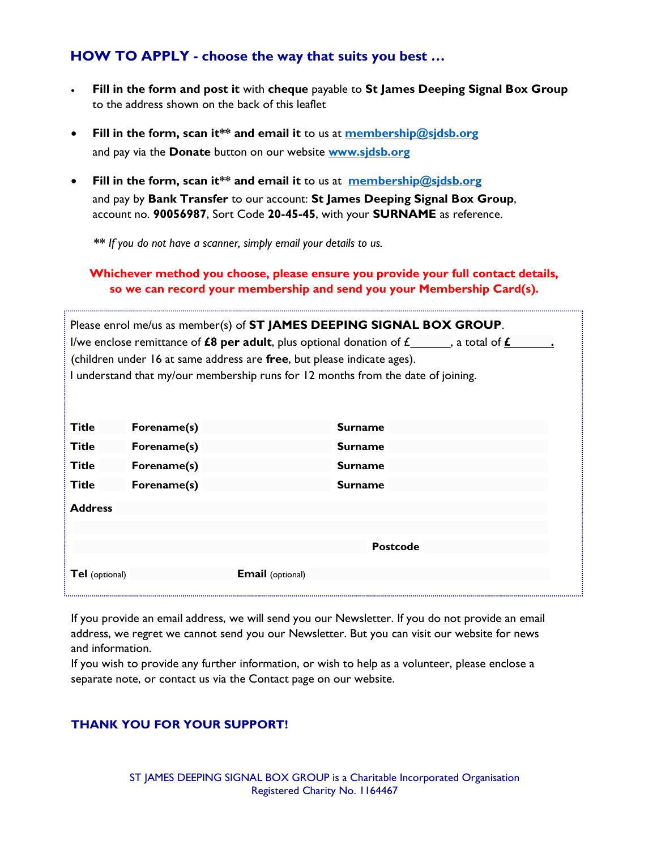### HOW TO APPLY - choose the way that suits you best …

- Fill in the form and post it with cheque payable to St James Deeping Signal Box Group to the address shown on the back of this leaflet
- Fill in the form, scan it\*\* and email it to us at membership@sjdsb.org and pay via the Donate button on our website www.sidsb.org
- Fill in the form, scan it\*\* and email it to us at  $\frac{\text{membership@sidsb.org}}{\text{membership@sidsb.org}}$ and pay by Bank Transfer to our account: St James Deeping Signal Box Group, account no. 90056987, Sort Code 20-45-45, with your SURNAME as reference.

\*\* If you do not have a scanner, simply email your details to us.

#### Whichever method you choose, please ensure you provide your full contact details, so we can record your membership and send you your Membership Card(s).

| Please enrol me/us as member(s) of ST JAMES DEEPING SIGNAL BOX GROUP.<br>I/we enclose remittance of <b>£8 per adult</b> , plus optional donation of $f_$ , a total of $f$<br>(children under 16 at same address are free, but please indicate ages).<br>I understand that my/our membership runs for 12 months from the date of joining. |                         |                 |
|------------------------------------------------------------------------------------------------------------------------------------------------------------------------------------------------------------------------------------------------------------------------------------------------------------------------------------------|-------------------------|-----------------|
| Title                                                                                                                                                                                                                                                                                                                                    | Forename(s)             | <b>Surname</b>  |
| Title                                                                                                                                                                                                                                                                                                                                    | Forename(s)             | <b>Surname</b>  |
| Title                                                                                                                                                                                                                                                                                                                                    | Forename(s)             | <b>Surname</b>  |
| Title                                                                                                                                                                                                                                                                                                                                    | Forename(s)             | <b>Surname</b>  |
| <b>Address</b>                                                                                                                                                                                                                                                                                                                           |                         |                 |
|                                                                                                                                                                                                                                                                                                                                          |                         |                 |
|                                                                                                                                                                                                                                                                                                                                          |                         | <b>Postcode</b> |
| Tel (optional)                                                                                                                                                                                                                                                                                                                           | <b>Email</b> (optional) |                 |

If you provide an email address, we will send you our Newsletter. If you do not provide an email address, we regret we cannot send you our Newsletter. But you can visit our website for news and information.

If you wish to provide any further information, or wish to help as a volunteer, please enclose a separate note, or contact us via the Contact page on our website.

#### THANK YOU FOR YOUR SUPPORT!